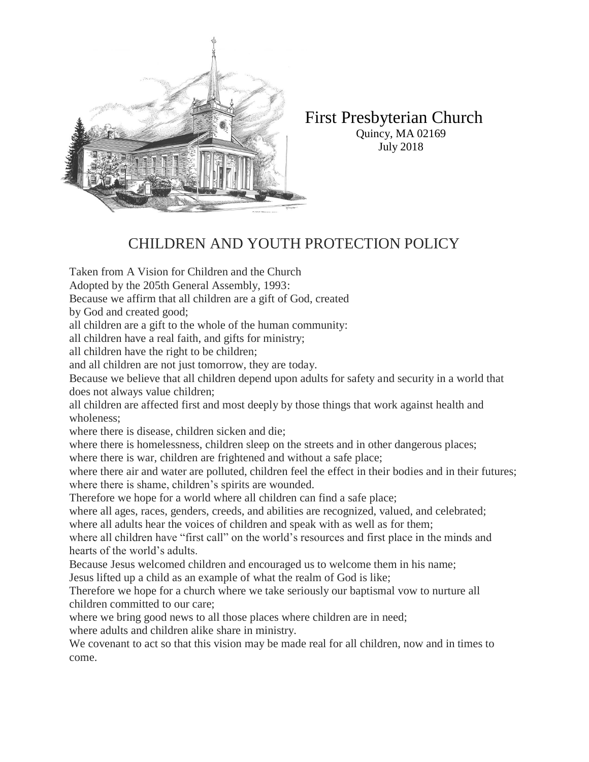

First Presbyterian Church Quincy, MA 02169 July 2018

# CHILDREN AND YOUTH PROTECTION POLICY

Taken from A Vision for Children and the Church Adopted by the 205th General Assembly, 1993: Because we affirm that all children are a gift of God, created by God and created good; all children are a gift to the whole of the human community: all children have a real faith, and gifts for ministry; all children have the right to be children; and all children are not just tomorrow, they are today. Because we believe that all children depend upon adults for safety and security in a world that does not always value children; all children are affected first and most deeply by those things that work against health and wholeness;

where there is disease, children sicken and die;

where there is homelessness, children sleep on the streets and in other dangerous places; where there is war, children are frightened and without a safe place;

where there air and water are polluted, children feel the effect in their bodies and in their futures; where there is shame, children's spirits are wounded.

Therefore we hope for a world where all children can find a safe place;

where all ages, races, genders, creeds, and abilities are recognized, valued, and celebrated; where all adults hear the voices of children and speak with as well as for them;

where all children have "first call" on the world's resources and first place in the minds and hearts of the world's adults.

Because Jesus welcomed children and encouraged us to welcome them in his name;

Jesus lifted up a child as an example of what the realm of God is like;

Therefore we hope for a church where we take seriously our baptismal vow to nurture all children committed to our care;

where we bring good news to all those places where children are in need;

where adults and children alike share in ministry.

We covenant to act so that this vision may be made real for all children, now and in times to come.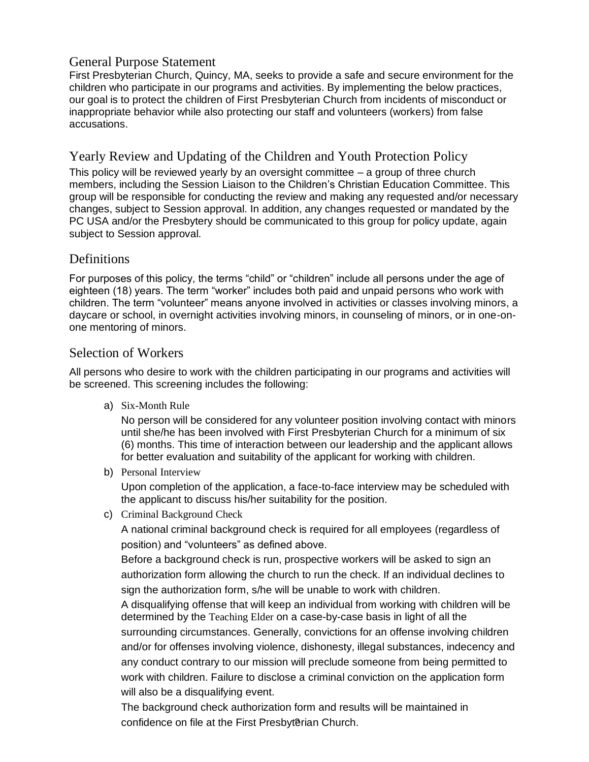#### General Purpose Statement

First Presbyterian Church, Quincy, MA, seeks to provide a safe and secure environment for the children who participate in our programs and activities. By implementing the below practices, our goal is to protect the children of First Presbyterian Church from incidents of misconduct or inappropriate behavior while also protecting our staff and volunteers (workers) from false accusations.

### Yearly Review and Updating of the Children and Youth Protection Policy

This policy will be reviewed yearly by an oversight committee – a group of three church members, including the Session Liaison to the Children's Christian Education Committee. This group will be responsible for conducting the review and making any requested and/or necessary changes, subject to Session approval. In addition, any changes requested or mandated by the PC USA and/or the Presbytery should be communicated to this group for policy update, again subject to Session approval.

### **Definitions**

For purposes of this policy, the terms "child" or "children" include all persons under the age of eighteen (18) years. The term "worker" includes both paid and unpaid persons who work with children. The term "volunteer" means anyone involved in activities or classes involving minors, a daycare or school, in overnight activities involving minors, in counseling of minors, or in one-onone mentoring of minors.

### Selection of Workers

All persons who desire to work with the children participating in our programs and activities will be screened. This screening includes the following:

a) Six-Month Rule

No person will be considered for any volunteer position involving contact with minors until she/he has been involved with First Presbyterian Church for a minimum of six (6) months. This time of interaction between our leadership and the applicant allows for better evaluation and suitability of the applicant for working with children.

b) Personal Interview

Upon completion of the application, a face-to-face interview may be scheduled with the applicant to discuss his/her suitability for the position.

c) Criminal Background Check

A national criminal background check is required for all employees (regardless of position) and "volunteers" as defined above.

Before a background check is run, prospective workers will be asked to sign an authorization form allowing the church to run the check. If an individual declines to sign the authorization form, s/he will be unable to work with children.

A disqualifying offense that will keep an individual from working with children will be determined by the Teaching Elder on a case-by-case basis in light of all the surrounding circumstances. Generally, convictions for an offense involving children and/or for offenses involving violence, dishonesty, illegal substances, indecency and any conduct contrary to our mission will preclude someone from being permitted to work with children. Failure to disclose a criminal conviction on the application form will also be a disqualifying event.

confidence on file at the First Presbyterian Church. The background check authorization form and results will be maintained in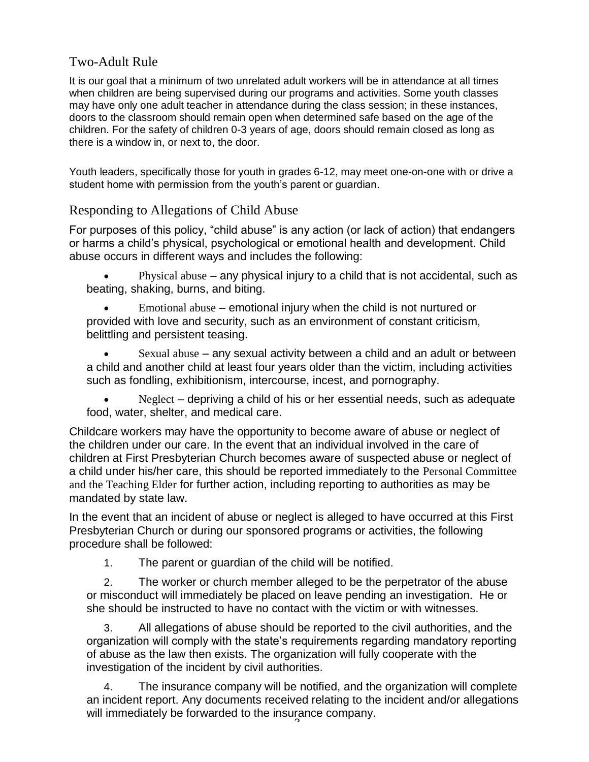# Two-Adult Rule

It is our goal that a minimum of two unrelated adult workers will be in attendance at all times when children are being supervised during our programs and activities. Some youth classes may have only one adult teacher in attendance during the class session; in these instances, doors to the classroom should remain open when determined safe based on the age of the children. For the safety of children 0-3 years of age, doors should remain closed as long as there is a window in, or next to, the door.

Youth leaders, specifically those for youth in grades 6-12, may meet one-on-one with or drive a student home with permission from the youth's parent or guardian.

### Responding to Allegations of Child Abuse

For purposes of this policy, "child abuse" is any action (or lack of action) that endangers or harms a child's physical, psychological or emotional health and development. Child abuse occurs in different ways and includes the following:

• Physical abuse – any physical injury to a child that is not accidental, such as beating, shaking, burns, and biting.

• Emotional abuse – emotional injury when the child is not nurtured or provided with love and security, such as an environment of constant criticism, belittling and persistent teasing.

• Sexual abuse – any sexual activity between a child and an adult or between a child and another child at least four years older than the victim, including activities such as fondling, exhibitionism, intercourse, incest, and pornography.

Neglect – depriving a child of his or her essential needs, such as adequate food, water, shelter, and medical care.

Childcare workers may have the opportunity to become aware of abuse or neglect of the children under our care. In the event that an individual involved in the care of children at First Presbyterian Church becomes aware of suspected abuse or neglect of a child under his/her care, this should be reported immediately to the Personal Committee and the Teaching Elder for further action, including reporting to authorities as may be mandated by state law.

In the event that an incident of abuse or neglect is alleged to have occurred at this First Presbyterian Church or during our sponsored programs or activities, the following procedure shall be followed:

1. The parent or guardian of the child will be notified.

2. The worker or church member alleged to be the perpetrator of the abuse or misconduct will immediately be placed on leave pending an investigation. He or she should be instructed to have no contact with the victim or with witnesses.

3. All allegations of abuse should be reported to the civil authorities, and the organization will comply with the state's requirements regarding mandatory reporting of abuse as the law then exists. The organization will fully cooperate with the investigation of the incident by civil authorities.

 $\overline{c}$ 4. The insurance company will be notified, and the organization will complete an incident report. Any documents received relating to the incident and/or allegations will immediately be forwarded to the insurance company.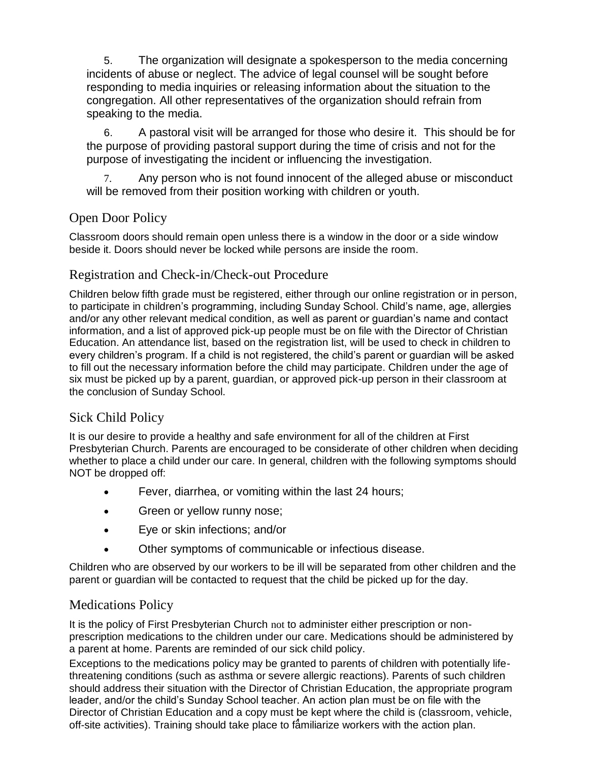5. The organization will designate a spokesperson to the media concerning incidents of abuse or neglect. The advice of legal counsel will be sought before responding to media inquiries or releasing information about the situation to the congregation. All other representatives of the organization should refrain from speaking to the media.

6. A pastoral visit will be arranged for those who desire it. This should be for the purpose of providing pastoral support during the time of crisis and not for the purpose of investigating the incident or influencing the investigation.

Any person who is not found innocent of the alleged abuse or misconduct will be removed from their position working with children or youth.

# Open Door Policy

Classroom doors should remain open unless there is a window in the door or a side window beside it. Doors should never be locked while persons are inside the room.

# Registration and Check-in/Check-out Procedure

Children below fifth grade must be registered, either through our online registration or in person, to participate in children's programming, including Sunday School. Child's name, age, allergies and/or any other relevant medical condition, as well as parent or guardian's name and contact information, and a list of approved pick-up people must be on file with the Director of Christian Education. An attendance list, based on the registration list, will be used to check in children to every children's program. If a child is not registered, the child's parent or guardian will be asked to fill out the necessary information before the child may participate. Children under the age of six must be picked up by a parent, guardian, or approved pick-up person in their classroom at the conclusion of Sunday School.

# Sick Child Policy

It is our desire to provide a healthy and safe environment for all of the children at First Presbyterian Church. Parents are encouraged to be considerate of other children when deciding whether to place a child under our care. In general, children with the following symptoms should NOT be dropped off:

- Fever, diarrhea, or vomiting within the last 24 hours;
- Green or yellow runny nose;
- Eye or skin infections; and/or
- Other symptoms of communicable or infectious disease.

Children who are observed by our workers to be ill will be separated from other children and the parent or guardian will be contacted to request that the child be picked up for the day.

# Medications Policy

It is the policy of First Presbyterian Church not to administer either prescription or nonprescription medications to the children under our care. Medications should be administered by a parent at home. Parents are reminded of our sick child policy.

off-site activities). Training should take place to familiarize workers with the action plan. Exceptions to the medications policy may be granted to parents of children with potentially lifethreatening conditions (such as asthma or severe allergic reactions). Parents of such children should address their situation with the Director of Christian Education, the appropriate program leader, and/or the child's Sunday School teacher. An action plan must be on file with the Director of Christian Education and a copy must be kept where the child is (classroom, vehicle,